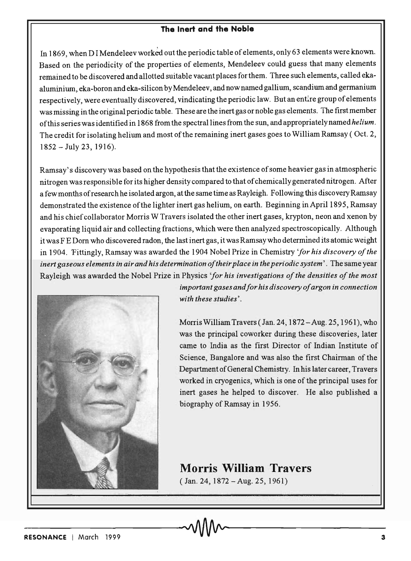## **The Inert and the Noble**

In 1869, when D I Mendeleev worked out the periodic table of elements, only 63 elements were known. Based on the periodicity of the properties of elements, Mendeleev could guess that many elements remained to be discovered and allotted suitable vacant places for them. Three such elements, called ekaaluminium, eka-boron and eka-silicon by Mendeleev, and now named gallium, scandium and germanium respectively, were eventually discovered, vindicating the periodic law. But an entre group of elements was missing in the original periodic table. These are the inert gas or noble gas elements. The first member ofthis series was identified in 1868 from the spectral lines from the sun, and appropriately named *helium.*  The credit for isolating helium and most of the remaining inert gases goes to William Ramsay (Oct. 2,  $1852 - July 23, 1916$ ).

Ramsay's discovery was based on the hypothesis that the existence of some heavier gas in atmospheric nitrogen was responsible for its higher density compared to that of chemically generated nitrogen. After a few months of research he isolated argon, at the same time as Rayleigh. Following this discovery Ramsay demonstrated the existence of the lighter inert gas helium, on earth. Beginning in April 1895, Ramsay and his chief collaborator Morris W Travers isolated the other inert gases, krypton, neon and xenon by evaporating liquid air and collecting fractions, which were then analyzed spectroscopically. Although it was FE Dorn who discovered radon, the last inert gas, it was Ramsay who determined its atomic weight in 1904. Fittingly, Ramsay was awarded the 1904 Nobel Prize in Chemistry *'for his discovery of the inert gaseous elements in air and his determination of their place in the periodic system'.* The same year Rayleigh was awarded the Nobel Prize in Physics *'for his investigations of the densities of the most* 



*important gases andfor his discovery of argon in connection with these studies'.* 

Morris William Travers (Jan. 24, 1872 - Aug. 25, 1961), who was the principal coworker during these discoveries, later came to India as the first Director of Indian Institute of Science, Bangalore and was also the first Chairman of the Department of General Chemistry. Inhis later career, Travers worked in cryogenics, which is one of the principal uses for inert gases he helped to discover. He also published a biography of Ramsay in 1956.

**Morris William Travers**  ( Jan. 24, 1872 - Aug. 25, 1961)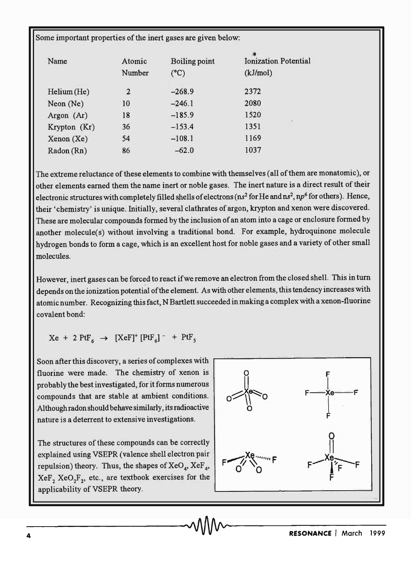Some important properties of the inert gases are given below:

| Name         | Atomic<br>Number | Boiling point<br>$(^{\circ}C)$ | 度<br><b>Ionization Potential</b><br>(kJ/mol) |
|--------------|------------------|--------------------------------|----------------------------------------------|
| Helium (He)  | 2                | $-268.9$                       | 2372                                         |
| Neon $(Ne)$  | 10               | $-246.1$                       | 2080                                         |
| Argon (Ar)   | 18               | $-185.9$                       | 1520                                         |
| Krypton (Kr) | 36               | $-153.4$                       | 1351                                         |
| Xenon(Xe)    | 54               | $-108.1$                       | 1169                                         |
| Radon (Rn)   | 86               | $-62.0$                        | 1037                                         |

The extreme reluctance of these elements to combine with themselves (all of them are monatomic), or other elements earned them the name inert or noble gases. The inert nature is a direct result of their electronic structures with completely filled shells of electrons (ns<sup>2</sup> for He and ns<sup>2</sup>, np<sup>6</sup> for others). Hence, their 'chemistry' is unique. Initially, several clathrates of argon, krypton and xenon were discovered. These are molecular compounds formed by the inclusion of an atom into a cage or enclosure formed by another molecule(s) without involving a traditional bond. For example, hydroquinone molecule hydrogen bonds to form a cage, which is an excellent host for noble gases and a variety of other small molecules.

However, inert gases can be forced to react if we remove an electron from the closed shell. This in tum depends on the ionization potential of the element. As with other elements, this tendency increases with atomic number. Recognizing this fact, N Bartlett succeeded in making a complex with a xenon-fluorine covalent bond:

 $Xe + 2 PtF_6 \rightarrow [XeF]^+ [PtF_6]^- + PtF_5$ 

Soon after this discovery, a series of complexes with fluorine were made. The chemistry of xenon is probably the best investigated, for it forms numerous compounds that are stable at ambient conditions. Although radon should behave similarly, its radioactive nature is a deterrent to extensive investigations.

The structures of these compounds can be correctly explained using VSEPR (valence shell electron pair repulsion) theory. Thus, the shapes of  $XeO<sub>4</sub>$ ,  $XeF<sub>4</sub>$ ,  $XeF_2 XeO_2F_2$ , etc., are textbook exercises for the applicability of VSEPR theory.